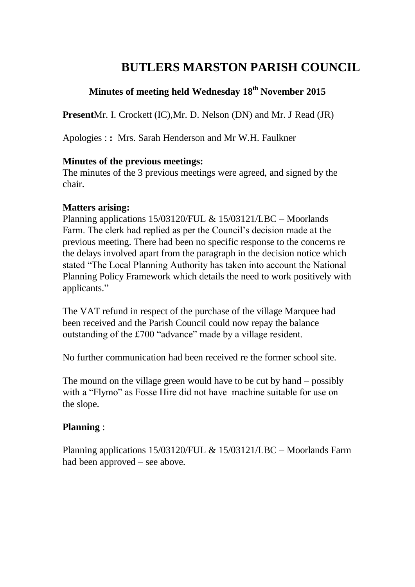# **BUTLERS MARSTON PARISH COUNCIL**

## **Minutes of meeting held Wednesday 18 th November 2015**

**Present**Mr. I. Crockett (IC),Mr. D. Nelson (DN) and Mr. J Read (JR)

Apologies : **:** Mrs. Sarah Henderson and Mr W.H. Faulkner

#### **Minutes of the previous meetings:**

The minutes of the 3 previous meetings were agreed, and signed by the chair.

#### **Matters arising:**

Planning applications 15/03120/FUL & 15/03121/LBC – Moorlands Farm. The clerk had replied as per the Council's decision made at the previous meeting. There had been no specific response to the concerns re the delays involved apart from the paragraph in the decision notice which stated "The Local Planning Authority has taken into account the National Planning Policy Framework which details the need to work positively with applicants."

The VAT refund in respect of the purchase of the village Marquee had been received and the Parish Council could now repay the balance outstanding of the £700 "advance" made by a village resident.

No further communication had been received re the former school site.

The mound on the village green would have to be cut by hand – possibly with a "Flymo" as Fosse Hire did not have machine suitable for use on the slope.

#### **Planning** :

Planning applications 15/03120/FUL & 15/03121/LBC – Moorlands Farm had been approved – see above.